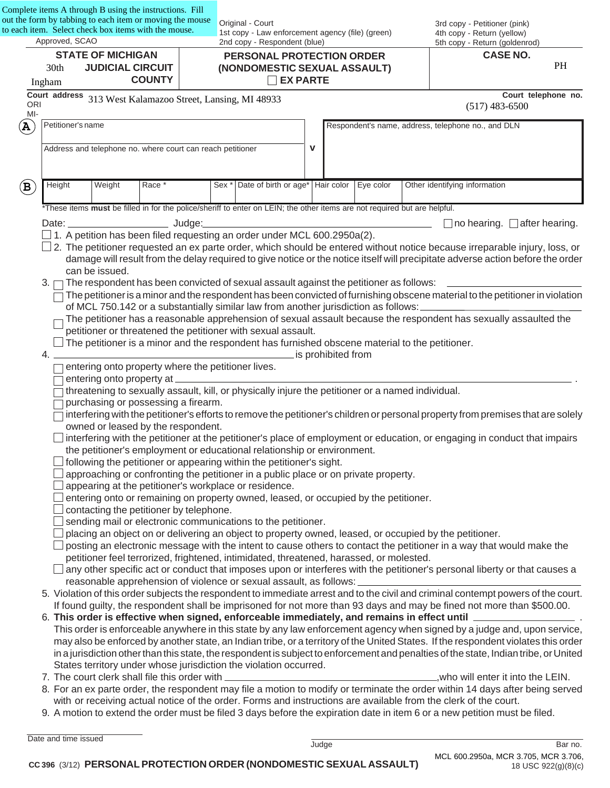|                                                                        |                                 | Complete items A through B using the instructions. Fill<br>out the form by tabbing to each item or moving the mouse                                                                                                            |               |                                                                                  | Original - Court                                                                                                                                                       |             |                    |                                                             |  | 3rd copy - Petitioner (pink)                                                                                                                                                                                                                                 |    |
|------------------------------------------------------------------------|---------------------------------|--------------------------------------------------------------------------------------------------------------------------------------------------------------------------------------------------------------------------------|---------------|----------------------------------------------------------------------------------|------------------------------------------------------------------------------------------------------------------------------------------------------------------------|-------------|--------------------|-------------------------------------------------------------|--|--------------------------------------------------------------------------------------------------------------------------------------------------------------------------------------------------------------------------------------------------------------|----|
| to each item. Select check box items with the mouse.<br>Approved, SCAO |                                 |                                                                                                                                                                                                                                |               | 1st copy - Law enforcement agency (file) (green)<br>2nd copy - Respondent (blue) |                                                                                                                                                                        |             |                    | 4th copy - Return (yellow)<br>5th copy - Return (goldenrod) |  |                                                                                                                                                                                                                                                              |    |
|                                                                        |                                 | <b>STATE OF MICHIGAN</b>                                                                                                                                                                                                       |               |                                                                                  | PERSONAL PROTECTION ORDER                                                                                                                                              |             |                    |                                                             |  | <b>CASE NO.</b>                                                                                                                                                                                                                                              |    |
|                                                                        | 30th<br><b>JUDICIAL CIRCUIT</b> |                                                                                                                                                                                                                                |               |                                                                                  | (NONDOMESTIC SEXUAL ASSAULT)                                                                                                                                           |             |                    |                                                             |  |                                                                                                                                                                                                                                                              | PH |
|                                                                        | Ingham                          |                                                                                                                                                                                                                                | <b>COUNTY</b> |                                                                                  | $\Box$ EX PARTE                                                                                                                                                        |             |                    |                                                             |  |                                                                                                                                                                                                                                                              |    |
| <b>ORI</b>                                                             |                                 | Court address 313 West Kalamazoo Street, Lansing, MI 48933                                                                                                                                                                     |               |                                                                                  |                                                                                                                                                                        |             |                    |                                                             |  | Court telephone no.<br>$(517)$ 483-6500                                                                                                                                                                                                                      |    |
| MI-                                                                    |                                 |                                                                                                                                                                                                                                |               |                                                                                  |                                                                                                                                                                        |             |                    |                                                             |  |                                                                                                                                                                                                                                                              |    |
| $\mathbf A$                                                            |                                 | Petitioner's name                                                                                                                                                                                                              |               |                                                                                  |                                                                                                                                                                        |             |                    |                                                             |  | Respondent's name, address, telephone no., and DLN                                                                                                                                                                                                           |    |
|                                                                        |                                 | Address and telephone no. where court can reach petitioner                                                                                                                                                                     |               |                                                                                  |                                                                                                                                                                        | $\mathbf v$ |                    |                                                             |  |                                                                                                                                                                                                                                                              |    |
|                                                                        |                                 |                                                                                                                                                                                                                                |               |                                                                                  |                                                                                                                                                                        |             |                    |                                                             |  |                                                                                                                                                                                                                                                              |    |
|                                                                        |                                 |                                                                                                                                                                                                                                |               |                                                                                  |                                                                                                                                                                        |             |                    |                                                             |  |                                                                                                                                                                                                                                                              |    |
| $\mathbf{B}$                                                           | Height                          | Weight                                                                                                                                                                                                                         | Race *        | Sex *                                                                            | Date of birth or age*   Hair color                                                                                                                                     |             |                    | Eye color                                                   |  | Other identifying information                                                                                                                                                                                                                                |    |
|                                                                        |                                 |                                                                                                                                                                                                                                |               |                                                                                  | *These items must be filled in for the police/sheriff to enter on LEIN; the other items are not required but are helpful.                                              |             |                    |                                                             |  |                                                                                                                                                                                                                                                              |    |
|                                                                        |                                 | Date: the contract of the contract of the contract of the contract of the contract of the contract of the contract of the contract of the contract of the contract of the contract of the contract of the contract of the cont | $\_$ Judge:   |                                                                                  |                                                                                                                                                                        |             |                    |                                                             |  | $\Box$ no hearing. $\Box$ after hearing.                                                                                                                                                                                                                     |    |
|                                                                        |                                 |                                                                                                                                                                                                                                |               |                                                                                  | 1. A petition has been filed requesting an order under MCL 600.2950a(2).                                                                                               |             |                    |                                                             |  |                                                                                                                                                                                                                                                              |    |
|                                                                        |                                 |                                                                                                                                                                                                                                |               |                                                                                  |                                                                                                                                                                        |             |                    |                                                             |  | $\Box$ 2. The petitioner requested an ex parte order, which should be entered without notice because irreparable injury, loss, or                                                                                                                            |    |
|                                                                        |                                 |                                                                                                                                                                                                                                |               |                                                                                  |                                                                                                                                                                        |             |                    |                                                             |  | damage will result from the delay required to give notice or the notice itself will precipitate adverse action before the order                                                                                                                              |    |
|                                                                        |                                 | can be issued.                                                                                                                                                                                                                 |               |                                                                                  |                                                                                                                                                                        |             |                    |                                                             |  |                                                                                                                                                                                                                                                              |    |
|                                                                        | 3.1                             |                                                                                                                                                                                                                                |               |                                                                                  | The respondent has been convicted of sexual assault against the petitioner as follows:                                                                                 |             |                    |                                                             |  | The petitioner is a minor and the respondent has been convicted of furnishing obscene material to the petitioner in violation                                                                                                                                |    |
|                                                                        |                                 |                                                                                                                                                                                                                                |               |                                                                                  | of MCL 750.142 or a substantially similar law from another jurisdiction as follows:                                                                                    |             |                    |                                                             |  |                                                                                                                                                                                                                                                              |    |
|                                                                        |                                 |                                                                                                                                                                                                                                |               |                                                                                  |                                                                                                                                                                        |             |                    |                                                             |  | The petitioner has a reasonable apprehension of sexual assault because the respondent has sexually assaulted the                                                                                                                                             |    |
|                                                                        |                                 |                                                                                                                                                                                                                                |               |                                                                                  | petitioner or threatened the petitioner with sexual assault.                                                                                                           |             |                    |                                                             |  |                                                                                                                                                                                                                                                              |    |
|                                                                        |                                 |                                                                                                                                                                                                                                |               |                                                                                  | The petitioner is a minor and the respondent has furnished obscene material to the petitioner.                                                                         |             |                    |                                                             |  |                                                                                                                                                                                                                                                              |    |
|                                                                        | 4.                              |                                                                                                                                                                                                                                |               |                                                                                  |                                                                                                                                                                        |             | is prohibited from |                                                             |  |                                                                                                                                                                                                                                                              |    |
|                                                                        |                                 | entering onto property where the petitioner lives.<br>entering onto property at _                                                                                                                                              |               |                                                                                  |                                                                                                                                                                        |             |                    |                                                             |  |                                                                                                                                                                                                                                                              |    |
|                                                                        |                                 |                                                                                                                                                                                                                                |               |                                                                                  | threatening to sexually assault, kill, or physically injure the petitioner or a named individual.                                                                      |             |                    |                                                             |  |                                                                                                                                                                                                                                                              |    |
|                                                                        |                                 | purchasing or possessing a firearm.                                                                                                                                                                                            |               |                                                                                  |                                                                                                                                                                        |             |                    |                                                             |  |                                                                                                                                                                                                                                                              |    |
|                                                                        |                                 |                                                                                                                                                                                                                                |               |                                                                                  |                                                                                                                                                                        |             |                    |                                                             |  | interfering with the petitioner's efforts to remove the petitioner's children or personal property from premises that are solely                                                                                                                             |    |
|                                                                        |                                 | owned or leased by the respondent.                                                                                                                                                                                             |               |                                                                                  |                                                                                                                                                                        |             |                    |                                                             |  |                                                                                                                                                                                                                                                              |    |
|                                                                        |                                 |                                                                                                                                                                                                                                |               |                                                                                  |                                                                                                                                                                        |             |                    |                                                             |  | interfering with the petitioner at the petitioner's place of employment or education, or engaging in conduct that impairs                                                                                                                                    |    |
|                                                                        |                                 |                                                                                                                                                                                                                                |               |                                                                                  | the petitioner's employment or educational relationship or environment.<br>following the petitioner or appearing within the petitioner's sight.                        |             |                    |                                                             |  |                                                                                                                                                                                                                                                              |    |
|                                                                        |                                 |                                                                                                                                                                                                                                |               |                                                                                  | approaching or confronting the petitioner in a public place or on private property.                                                                                    |             |                    |                                                             |  |                                                                                                                                                                                                                                                              |    |
|                                                                        |                                 |                                                                                                                                                                                                                                |               |                                                                                  | appearing at the petitioner's workplace or residence.                                                                                                                  |             |                    |                                                             |  |                                                                                                                                                                                                                                                              |    |
|                                                                        |                                 |                                                                                                                                                                                                                                |               |                                                                                  | entering onto or remaining on property owned, leased, or occupied by the petitioner.                                                                                   |             |                    |                                                             |  |                                                                                                                                                                                                                                                              |    |
|                                                                        |                                 | contacting the petitioner by telephone.                                                                                                                                                                                        |               |                                                                                  |                                                                                                                                                                        |             |                    |                                                             |  |                                                                                                                                                                                                                                                              |    |
|                                                                        |                                 |                                                                                                                                                                                                                                |               |                                                                                  | sending mail or electronic communications to the petitioner.<br>placing an object on or delivering an object to property owned, leased, or occupied by the petitioner. |             |                    |                                                             |  |                                                                                                                                                                                                                                                              |    |
|                                                                        |                                 |                                                                                                                                                                                                                                |               |                                                                                  |                                                                                                                                                                        |             |                    |                                                             |  | posting an electronic message with the intent to cause others to contact the petitioner in a way that would make the                                                                                                                                         |    |
|                                                                        |                                 |                                                                                                                                                                                                                                |               |                                                                                  | petitioner feel terrorized, frightened, intimidated, threatened, harassed, or molested.                                                                                |             |                    |                                                             |  |                                                                                                                                                                                                                                                              |    |
|                                                                        |                                 |                                                                                                                                                                                                                                |               |                                                                                  |                                                                                                                                                                        |             |                    |                                                             |  | any other specific act or conduct that imposes upon or interferes with the petitioner's personal liberty or that causes a                                                                                                                                    |    |
|                                                                        |                                 |                                                                                                                                                                                                                                |               |                                                                                  | reasonable apprehension of violence or sexual assault, as follows:                                                                                                     |             |                    |                                                             |  |                                                                                                                                                                                                                                                              |    |
|                                                                        |                                 |                                                                                                                                                                                                                                |               |                                                                                  |                                                                                                                                                                        |             |                    |                                                             |  | 5. Violation of this order subjects the respondent to immediate arrest and to the civil and criminal contempt powers of the court.<br>If found guilty, the respondent shall be imprisoned for not more than 93 days and may be fined not more than \$500.00. |    |
|                                                                        |                                 |                                                                                                                                                                                                                                |               |                                                                                  | 6. This order is effective when signed, enforceable immediately, and remains in effect until __                                                                        |             |                    |                                                             |  |                                                                                                                                                                                                                                                              |    |
|                                                                        |                                 |                                                                                                                                                                                                                                |               |                                                                                  |                                                                                                                                                                        |             |                    |                                                             |  | This order is enforceable anywhere in this state by any law enforcement agency when signed by a judge and, upon service,                                                                                                                                     |    |
|                                                                        |                                 |                                                                                                                                                                                                                                |               |                                                                                  |                                                                                                                                                                        |             |                    |                                                             |  | may also be enforced by another state, an Indian tribe, or a territory of the United States. If the respondent violates this order                                                                                                                           |    |
|                                                                        |                                 |                                                                                                                                                                                                                                |               |                                                                                  |                                                                                                                                                                        |             |                    |                                                             |  | in a jurisdiction other than this state, the respondent is subject to enforcement and penalties of the state, Indian tribe, or United                                                                                                                        |    |
|                                                                        |                                 |                                                                                                                                                                                                                                |               |                                                                                  | States territory under whose jurisdiction the violation occurred.                                                                                                      |             |                    |                                                             |  |                                                                                                                                                                                                                                                              |    |
|                                                                        |                                 | 7. The court clerk shall file this order with _                                                                                                                                                                                |               |                                                                                  |                                                                                                                                                                        |             |                    |                                                             |  | _,who will enter it into the LEIN.<br>8. For an ex parte order, the respondent may file a motion to modify or terminate the order within 14 days after being served                                                                                          |    |
|                                                                        |                                 |                                                                                                                                                                                                                                |               |                                                                                  |                                                                                                                                                                        |             |                    |                                                             |  | with or receiving actual notice of the order. Forms and instructions are available from the clerk of the court.                                                                                                                                              |    |
|                                                                        |                                 |                                                                                                                                                                                                                                |               |                                                                                  |                                                                                                                                                                        |             |                    |                                                             |  | 9. A motion to extend the order must be filed 3 days before the expiration date in item 6 or a new petition must be filed.                                                                                                                                   |    |
|                                                                        |                                 |                                                                                                                                                                                                                                |               |                                                                                  |                                                                                                                                                                        |             |                    |                                                             |  |                                                                                                                                                                                                                                                              |    |

| Date and time issued |       |
|----------------------|-------|
|                      | Judge |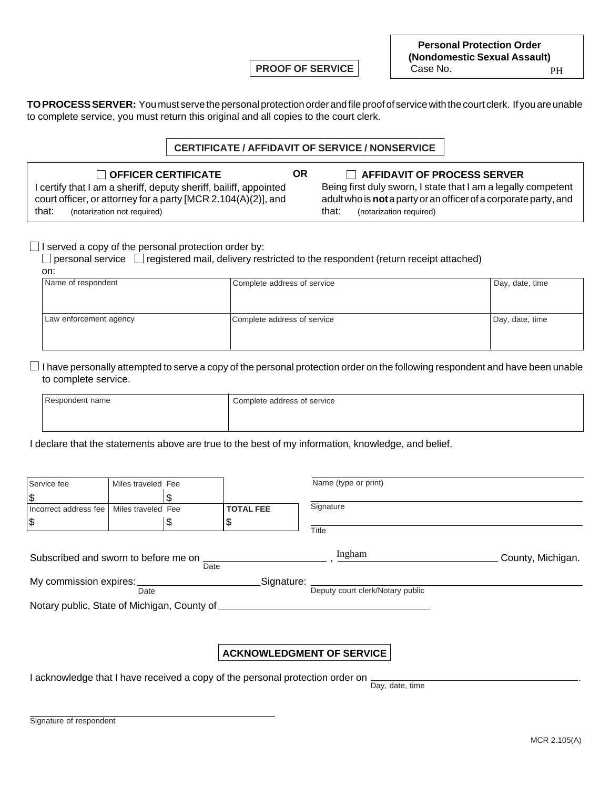**PROOF OF SERVICE**

**Personal Protection Order (Nondomestic Sexual Assault)** Case No. PH

**TO PROCESS SERVER:** You must serve the personal protection order and file proof of service with the court clerk. If you are unable to complete service, you must return this original and all copies to the court clerk.

### **CERTIFICATE / AFFIDAVIT OF SERVICE / NONSERVICE**

**OR**

| OFFICER CERTIFICATE                                               |
|-------------------------------------------------------------------|
| I certify that I am a sheriff, deputy sheriff, bailiff, appointed |
| court officer, or attorney for a party [MCR 2.104(A)(2)], and     |

**CE AFFIDAVIT OF PROCESS SERVER** Being first duly sworn, I state that I am a legally competent adult who is **not** a party or an officer of a corporate party, and that: (notarization required)

#### $\Box$  I served a copy of the personal protection order by:

that: (notarization not required)

 $\Box$  personal service  $\Box$  registered mail, delivery restricted to the respondent (return receipt attached) on:

| Name of respondent     | Complete address of service | Day, date, time |
|------------------------|-----------------------------|-----------------|
|                        |                             |                 |
| Law enforcement agency | Complete address of service | Day, date, time |
|                        |                             |                 |

 $\Box$  I have personally attempted to serve a copy of the personal protection order on the following respondent and have been unable to complete service.

| Respondent name | Complete address of service |  |  |  |  |
|-----------------|-----------------------------|--|--|--|--|
|                 |                             |  |  |  |  |

I declare that the statements above are true to the best of my information, knowledge, and belief.

| Service fee                                  | Miles traveled Fee |         |                        | Name (type or print)             |                   |  |  |  |
|----------------------------------------------|--------------------|---------|------------------------|----------------------------------|-------------------|--|--|--|
| \$<br>Incorrect address fee<br> \$           | Miles traveled Fee | S<br>\$ | <b>TOTAL FEE</b><br>\$ | Signature<br>Title               |                   |  |  |  |
| Subscribed and sworn to before me on         |                    | Date    |                        | Ingham                           | County, Michigan. |  |  |  |
| My commission expires:<br>Signature:<br>Date |                    |         |                        | Deputy court clerk/Notary public |                   |  |  |  |

Notary public, State of Michigan, County of

## **ACKNOWLEDGMENT OF SERVICE**

I acknowledge that I have received a copy of the personal protection order on

Day, date, time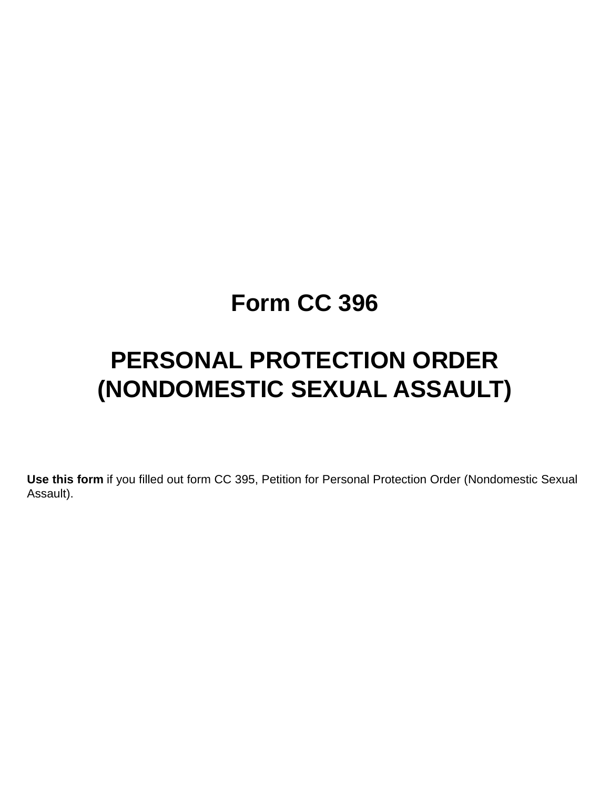## **Form CC 396**

# **PERSONAL PROTECTION ORDER (NONDOMESTIC SEXUAL ASSAULT)**

**Use this form** if you filled out form CC 395, Petition for Personal Protection Order (Nondomestic Sexual Assault).